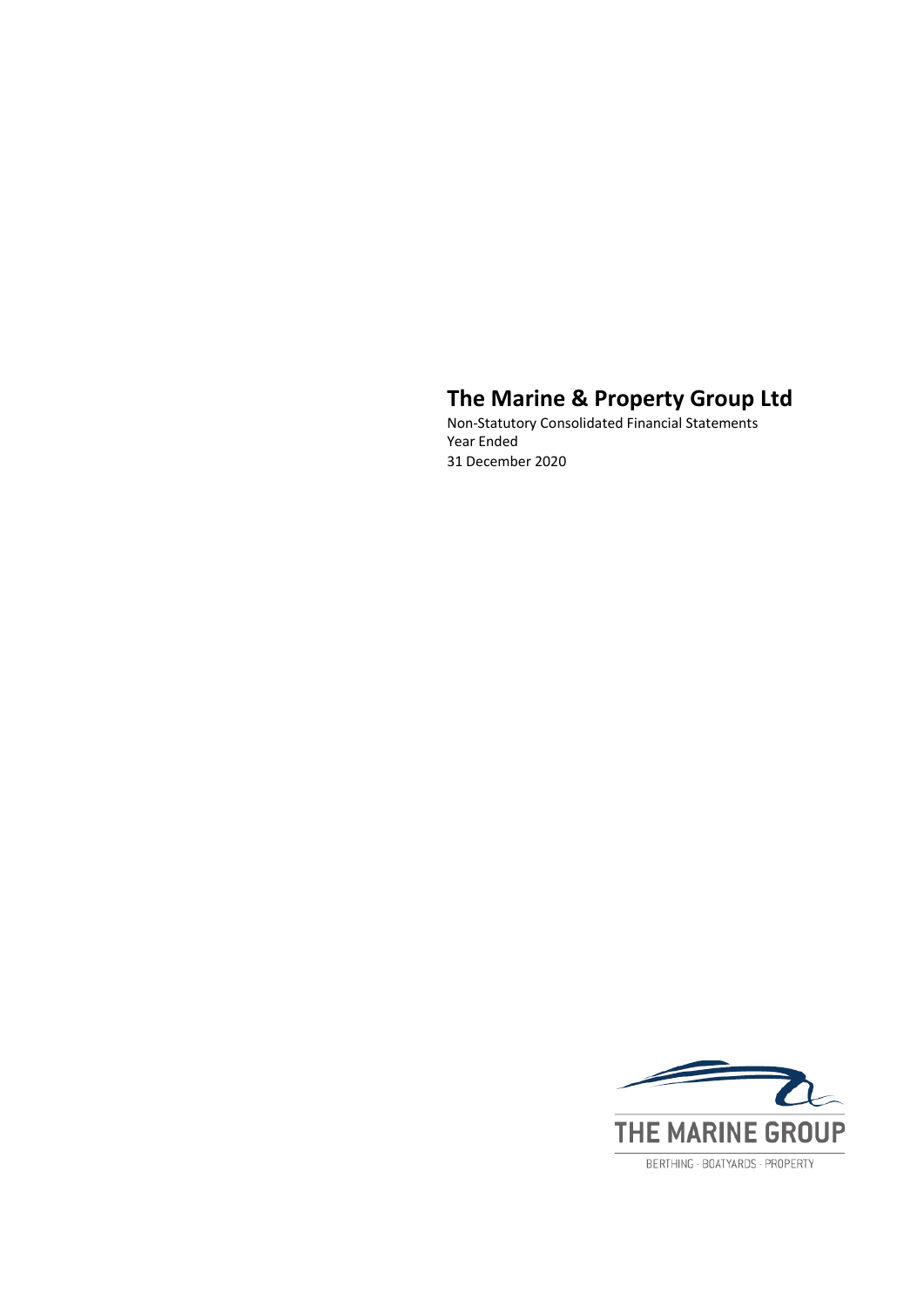Non-Statutory Consolidated Financial Statements Year Ended 31 December 2020

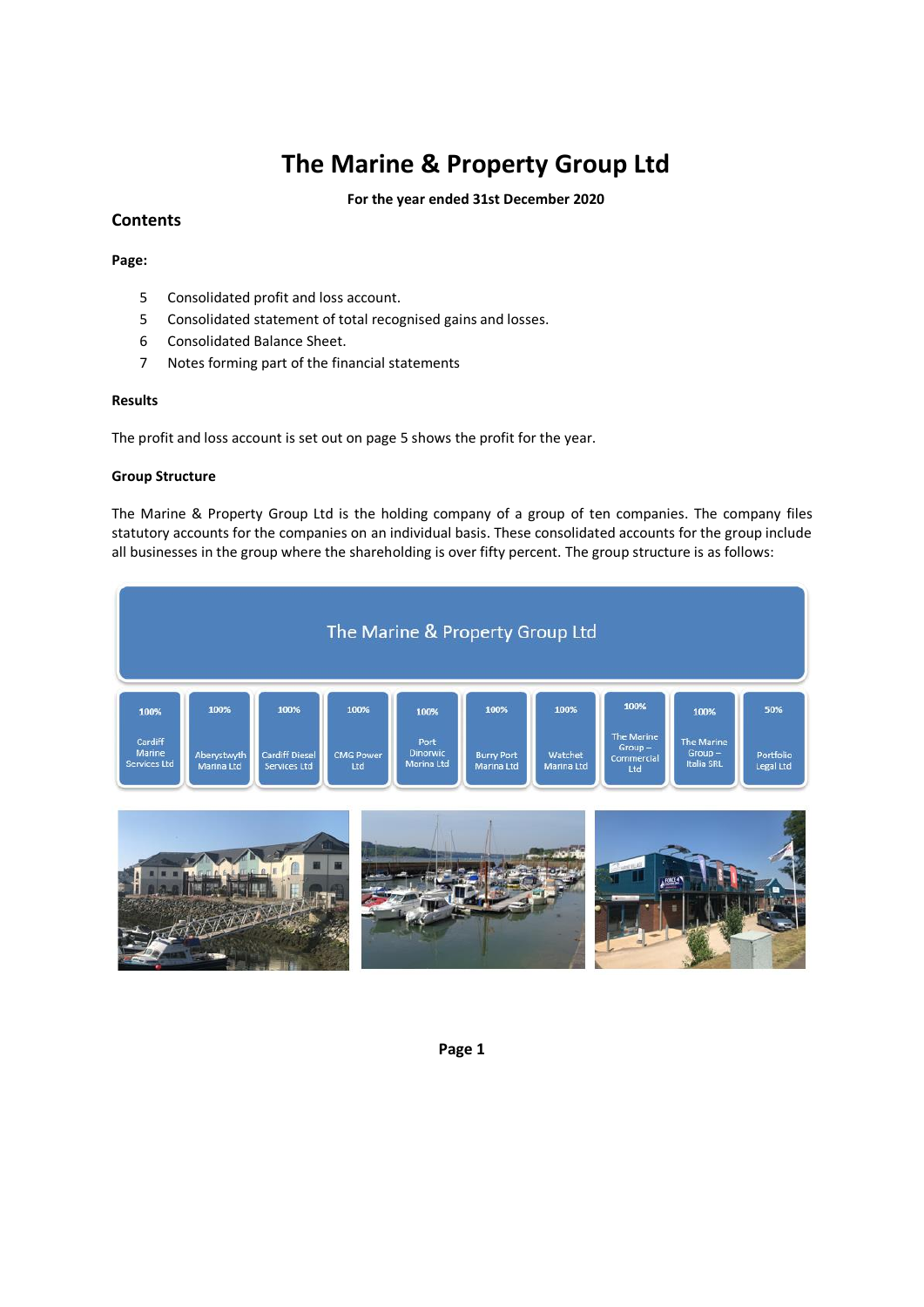**For the year ended 31st December 2020**

### **Contents**

#### **Page:**

- 5 Consolidated profit and loss account.
- 5 Consolidated statement of total recognised gains and losses.
- 6 Consolidated Balance Sheet.
- 7 Notes forming part of the financial statements

### **Results**

The profit and loss account is set out on page 5 shows the profit for the year.

#### **Group Structure**

The Marine & Property Group Ltd is the holding company of a group of ten companies. The company files statutory accounts for the companies on an individual basis. These consolidated accounts for the group include all businesses in the group where the shareholding is over fifty percent. The group structure is as follows:



**Page 1**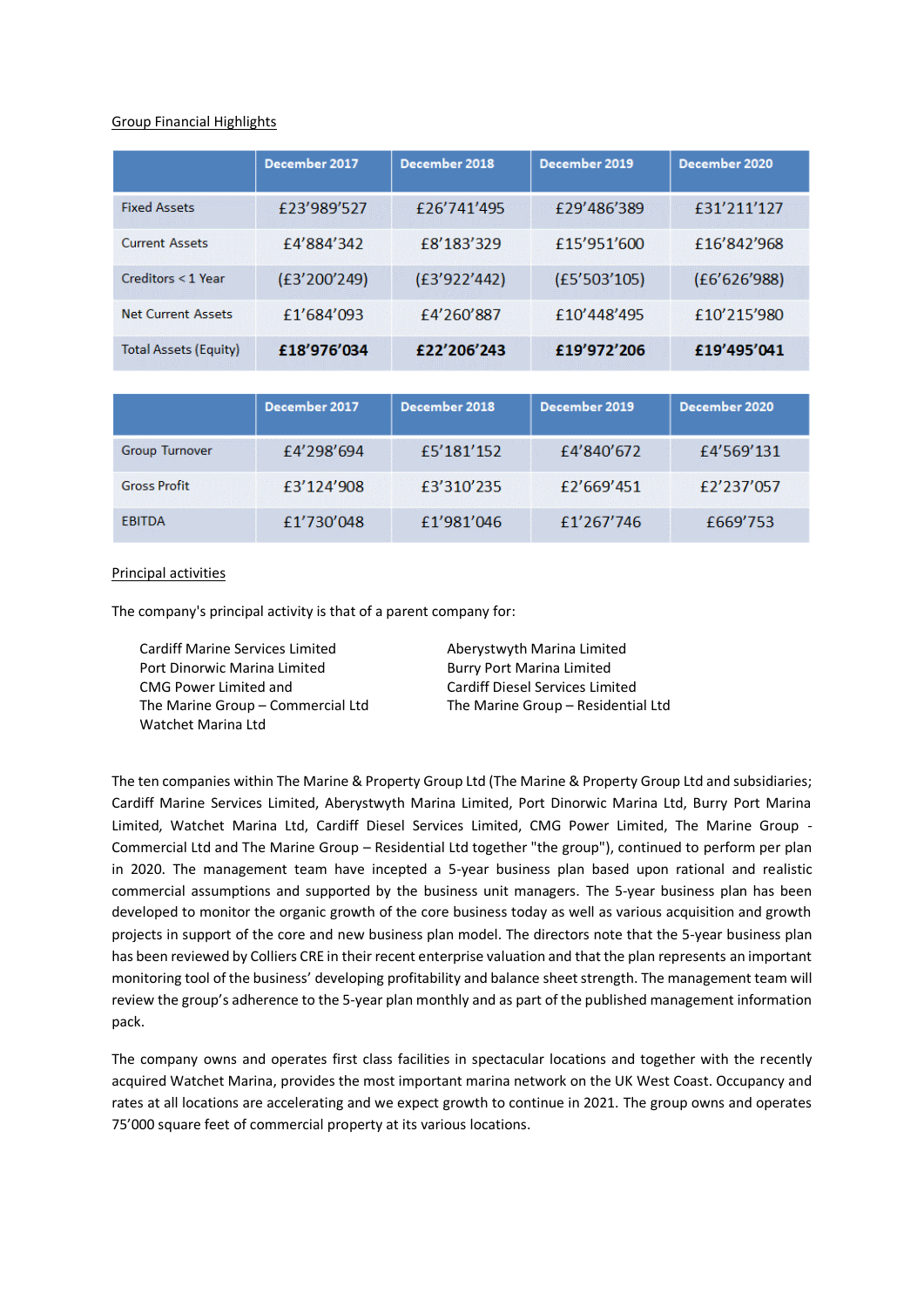#### Group Financial Highlights

|                              | December 2017 | December 2018 | December 2019 | December 2020 |
|------------------------------|---------------|---------------|---------------|---------------|
| <b>Fixed Assets</b>          | £23'989'527   | £26'741'495   | £29'486'389   | £31'211'127   |
| <b>Current Assets</b>        | £4'884'342    | £8'183'329    | £15'951'600   | £16'842'968   |
| $C$ reditors $<$ 1 Year      | (E3'200'249)  | (£3'922'442)  | (E5'503'105)  | (E6'626'988)  |
| <b>Net Current Assets</b>    | £1'684'093    | £4'260'887    | £10'448'495   | £10'215'980   |
| <b>Total Assets (Equity)</b> | £18'976'034   | £22'206'243   | £19'972'206   | £19'495'041   |
|                              |               |               |               |               |
|                              | December 2017 | December 2018 | December 2019 | December 2020 |
| <b>Group Turnover</b>        | £4'298'694    | £5'181'152    | £4'840'672    | £4'569'131    |
| <b>Gross Profit</b>          | £3'124'908    | £3'310'235    | £2'669'451    | £2'237'057    |

£1'981'046

#### Principal activities

**EBITDA** 

The company's principal activity is that of a parent company for:

£1'730'048

Cardiff Marine Services Limited **Aberystwyth Marina Limited** Port Dinorwic Marina Limited Burry Port Marina Limited CMG Power Limited and Cardiff Diesel Services Limited The Marine Group – Commercial Ltd The Marine Group – Residential Ltd Watchet Marina Ltd

£1'267'746

£669'753

The ten companies within The Marine & Property Group Ltd (The Marine & Property Group Ltd and subsidiaries; Cardiff Marine Services Limited, Aberystwyth Marina Limited, Port Dinorwic Marina Ltd, Burry Port Marina Limited, Watchet Marina Ltd, Cardiff Diesel Services Limited, CMG Power Limited, The Marine Group - Commercial Ltd and The Marine Group – Residential Ltd together "the group"), continued to perform per plan in 2020. The management team have incepted a 5-year business plan based upon rational and realistic commercial assumptions and supported by the business unit managers. The 5-year business plan has been developed to monitor the organic growth of the core business today as well as various acquisition and growth projects in support of the core and new business plan model. The directors note that the 5-year business plan has been reviewed by Colliers CRE in their recent enterprise valuation and that the plan represents an important monitoring tool of the business' developing profitability and balance sheet strength. The management team will review the group's adherence to the 5-year plan monthly and as part of the published management information pack.

The company owns and operates first class facilities in spectacular locations and together with the recently acquired Watchet Marina, provides the most important marina network on the UK West Coast. Occupancy and rates at all locations are accelerating and we expect growth to continue in 2021. The group owns and operates 75'000 square feet of commercial property at its various locations.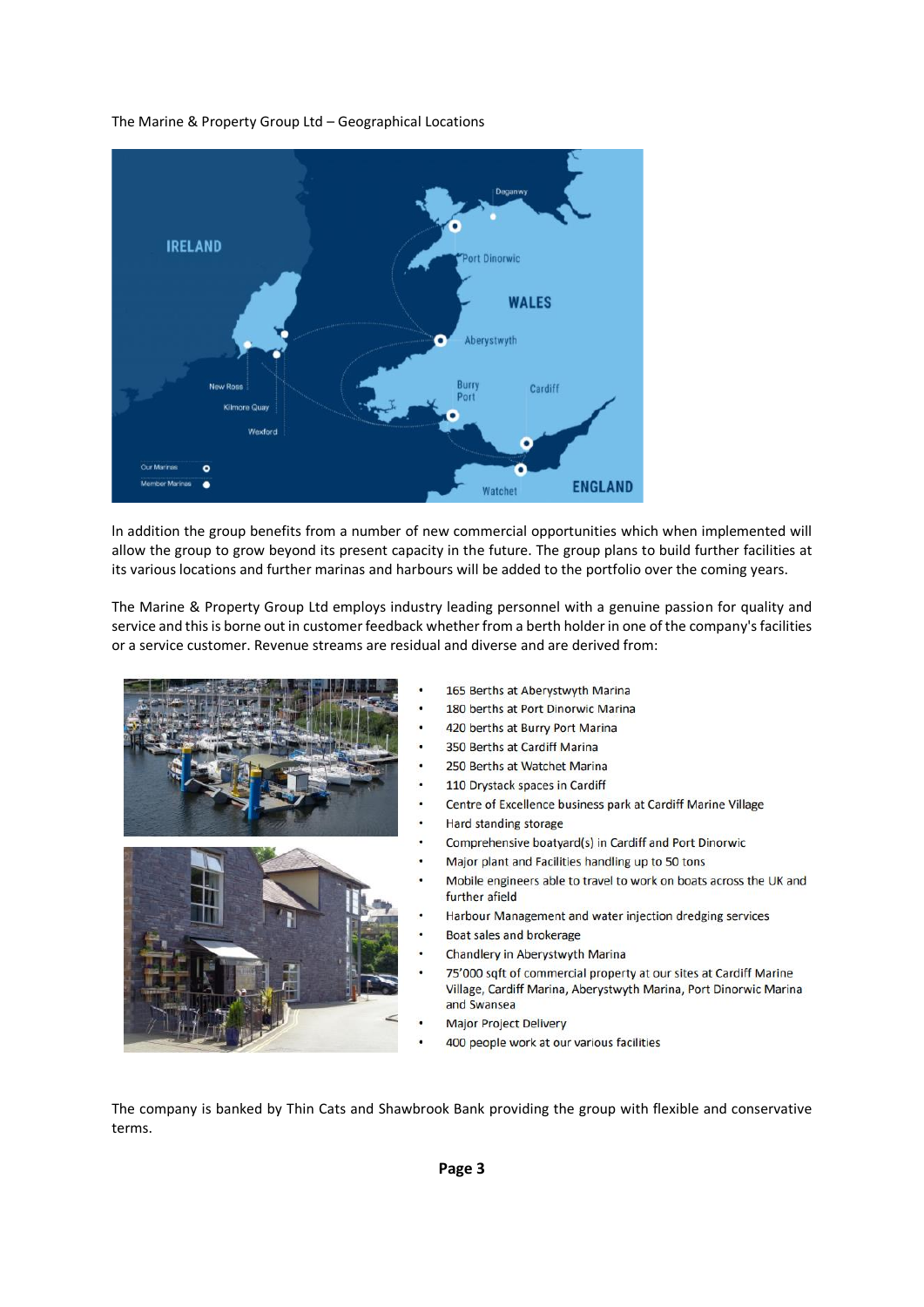#### The Marine & Property Group Ltd – Geographical Locations



ln addition the group benefits from a number of new commercial opportunities which when implemented will allow the group to grow beyond its present capacity in the future. The group plans to build further facilities at its various locations and further marinas and harbours will be added to the portfolio over the coming years.

The Marine & Property Group Ltd employs industry leading personnel with a genuine passion for quality and service and this is borne out in customer feedback whether from a berth holder in one of the company's facilities or a service customer. Revenue streams are residual and diverse and are derived from:



- 165 Berths at Aberystwyth Marina
- 180 berths at Port Dinorwic Marina
- 420 berths at Burry Port Marina
- 350 Berths at Cardiff Marina
- 250 Berths at Watchet Marina
- 110 Drystack spaces in Cardiff
- Centre of Excellence business park at Cardiff Marine Village
- Hard standing storage
- Comprehensive boatyard(s) in Cardiff and Port Dinorwic
- Major plant and Facilities handling up to 50 tons
- Mobile engineers able to travel to work on boats across the UK and further afield
- Harbour Management and water injection dredging services
- Boat sales and brokerage
- Chandlery in Aberystwyth Marina
- 75'000 sqft of commercial property at our sites at Cardiff Marine Village, Cardiff Marina, Aberystwyth Marina, Port Dinorwic Marina and Swansea
- Major Project Delivery
- 400 people work at our various facilities

The company is banked by Thin Cats and Shawbrook Bank providing the group with flexible and conservative terms.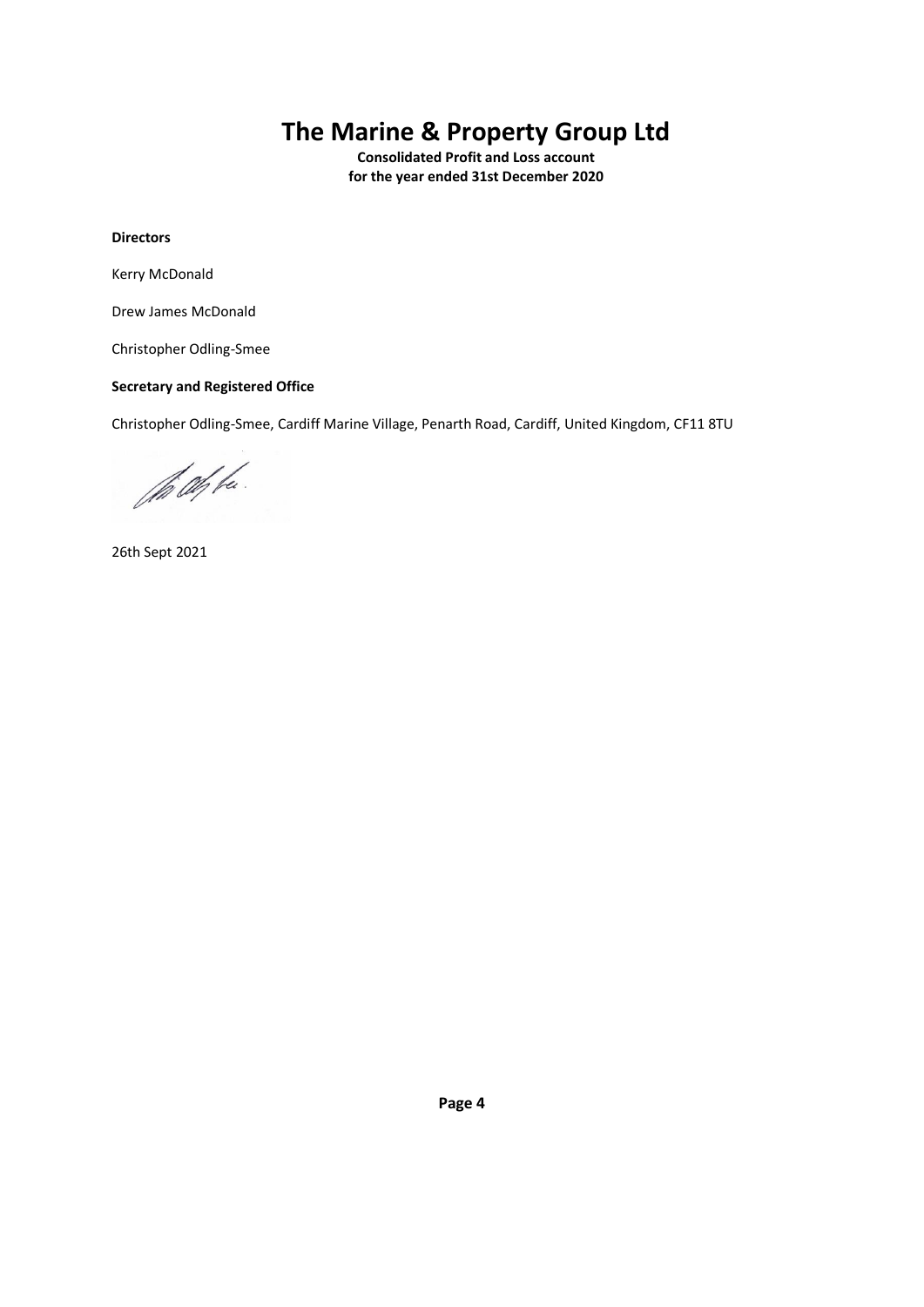**Consolidated Profit and Loss account for the year ended 31st December 2020**

### **Directors**

Kerry McDonald

Drew James McDonald

Christopher Odling-Smee

#### **Secretary and Registered Office**

Christopher Odling-Smee, Cardiff Marine Village, Penarth Road, Cardiff, United Kingdom, CF11 8TU

the Offe.

26th Sept 2021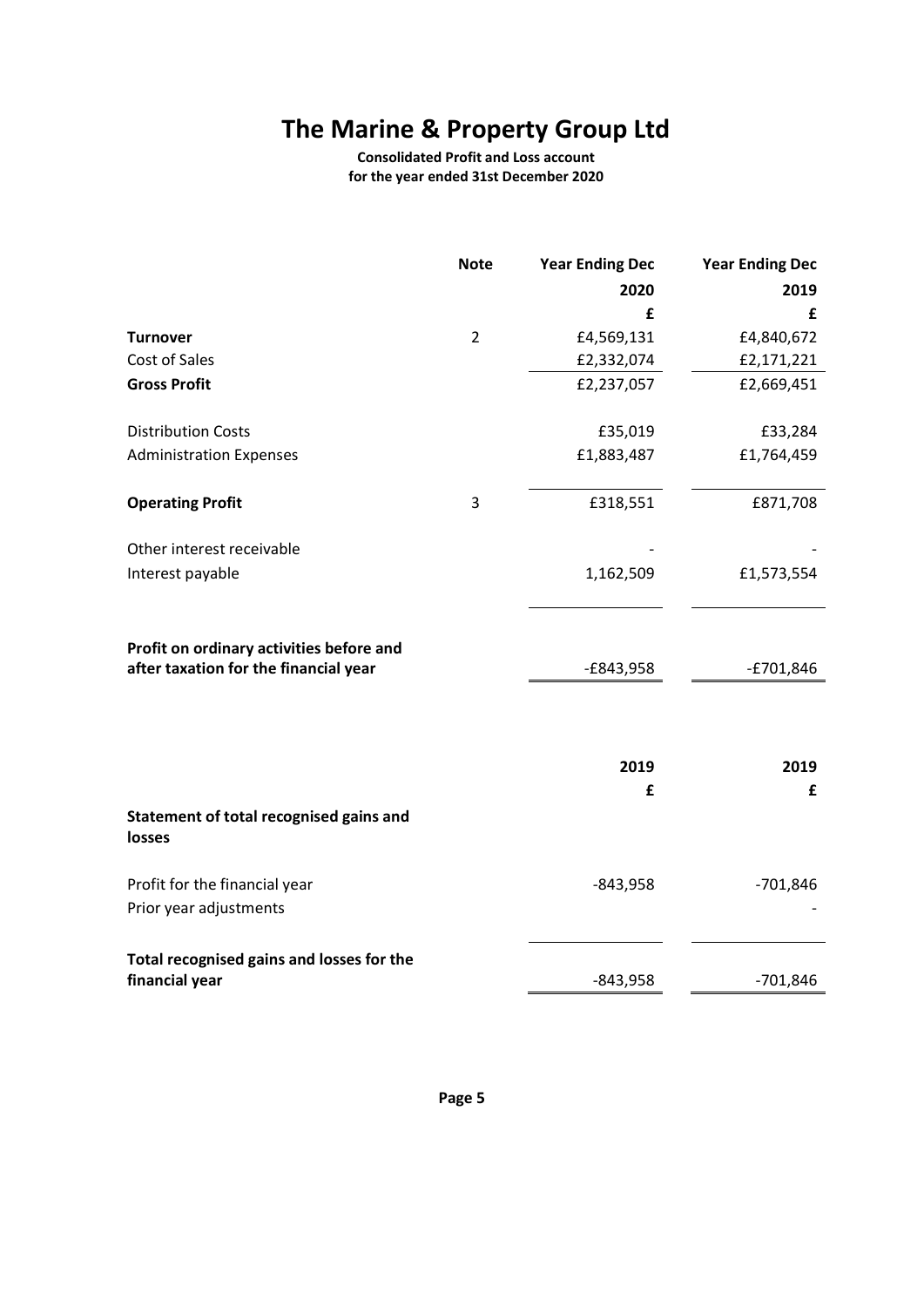**Consolidated Profit and Loss account for the year ended 31st December 2020**

|                                                                                   | <b>Note</b>    | <b>Year Ending Dec</b> | <b>Year Ending Dec</b> |
|-----------------------------------------------------------------------------------|----------------|------------------------|------------------------|
|                                                                                   |                | 2020                   | 2019                   |
|                                                                                   |                | £                      | £                      |
| <b>Turnover</b>                                                                   | $\overline{2}$ | £4,569,131             | £4,840,672             |
| Cost of Sales                                                                     |                | £2,332,074             | £2,171,221             |
| <b>Gross Profit</b>                                                               |                | £2,237,057             | £2,669,451             |
| <b>Distribution Costs</b>                                                         |                | £35,019                | £33,284                |
| <b>Administration Expenses</b>                                                    |                | £1,883,487             | £1,764,459             |
| <b>Operating Profit</b>                                                           | 3              | £318,551               | £871,708               |
| Other interest receivable                                                         |                |                        |                        |
| Interest payable                                                                  |                | 1,162,509              | £1,573,554             |
| Profit on ordinary activities before and<br>after taxation for the financial year |                | $-E843,958$            | $-£701,846$            |
|                                                                                   |                | 2019                   | 2019                   |
|                                                                                   |                | £                      | £                      |
| Statement of total recognised gains and<br><b>losses</b>                          |                |                        |                        |
| Profit for the financial year                                                     |                | $-843,958$             | $-701,846$             |
| Prior year adjustments                                                            |                |                        |                        |
| Total recognised gains and losses for the                                         |                |                        |                        |
| financial year                                                                    |                | $-843,958$             | $-701,846$             |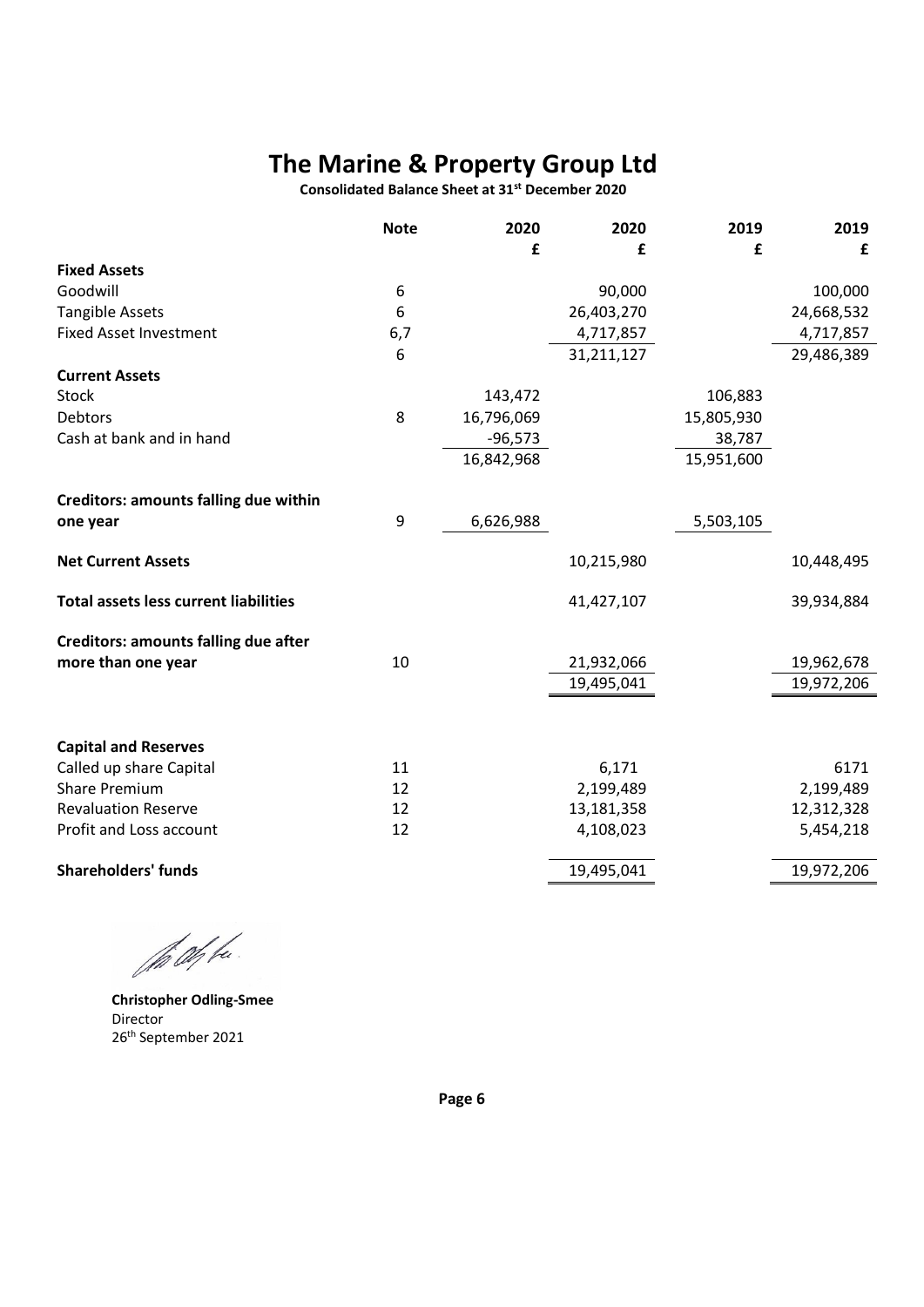**Consolidated Balance Sheet at 31st December 2020**

|                                              | <b>Note</b> | 2020       | 2020       | 2019       | 2019       |
|----------------------------------------------|-------------|------------|------------|------------|------------|
|                                              |             | £          | £          | £          | £          |
| <b>Fixed Assets</b>                          |             |            |            |            |            |
| Goodwill                                     | 6           |            | 90,000     |            | 100,000    |
| <b>Tangible Assets</b>                       | 6           |            | 26,403,270 |            | 24,668,532 |
| <b>Fixed Asset Investment</b>                | 6,7         |            | 4,717,857  |            | 4,717,857  |
|                                              | 6           |            | 31,211,127 |            | 29,486,389 |
| <b>Current Assets</b>                        |             |            |            |            |            |
| Stock                                        |             | 143,472    |            | 106,883    |            |
| Debtors                                      | 8           | 16,796,069 |            | 15,805,930 |            |
| Cash at bank and in hand                     |             | $-96,573$  |            | 38,787     |            |
|                                              |             | 16,842,968 |            | 15,951,600 |            |
| <b>Creditors: amounts falling due within</b> |             |            |            |            |            |
| one year                                     | 9           | 6,626,988  |            | 5,503,105  |            |
| <b>Net Current Assets</b>                    |             |            | 10,215,980 |            | 10,448,495 |
| <b>Total assets less current liabilities</b> |             |            | 41,427,107 |            | 39,934,884 |
| <b>Creditors: amounts falling due after</b>  |             |            |            |            |            |
| more than one year                           | 10          |            | 21,932,066 |            | 19,962,678 |
|                                              |             |            | 19,495,041 |            | 19,972,206 |
|                                              |             |            |            |            |            |
| <b>Capital and Reserves</b>                  |             |            |            |            |            |
| Called up share Capital                      | 11          |            | 6,171      |            | 6171       |
| <b>Share Premium</b>                         | 12          |            | 2,199,489  |            | 2,199,489  |
| <b>Revaluation Reserve</b>                   | 12          |            | 13,181,358 |            | 12,312,328 |
| Profit and Loss account                      | 12          |            | 4,108,023  |            | 5,454,218  |
| <b>Shareholders' funds</b>                   |             |            | 19,495,041 |            | 19,972,206 |
|                                              |             |            |            |            |            |

the Offer.

**Christopher Odling-Smee** Director 26th September 2021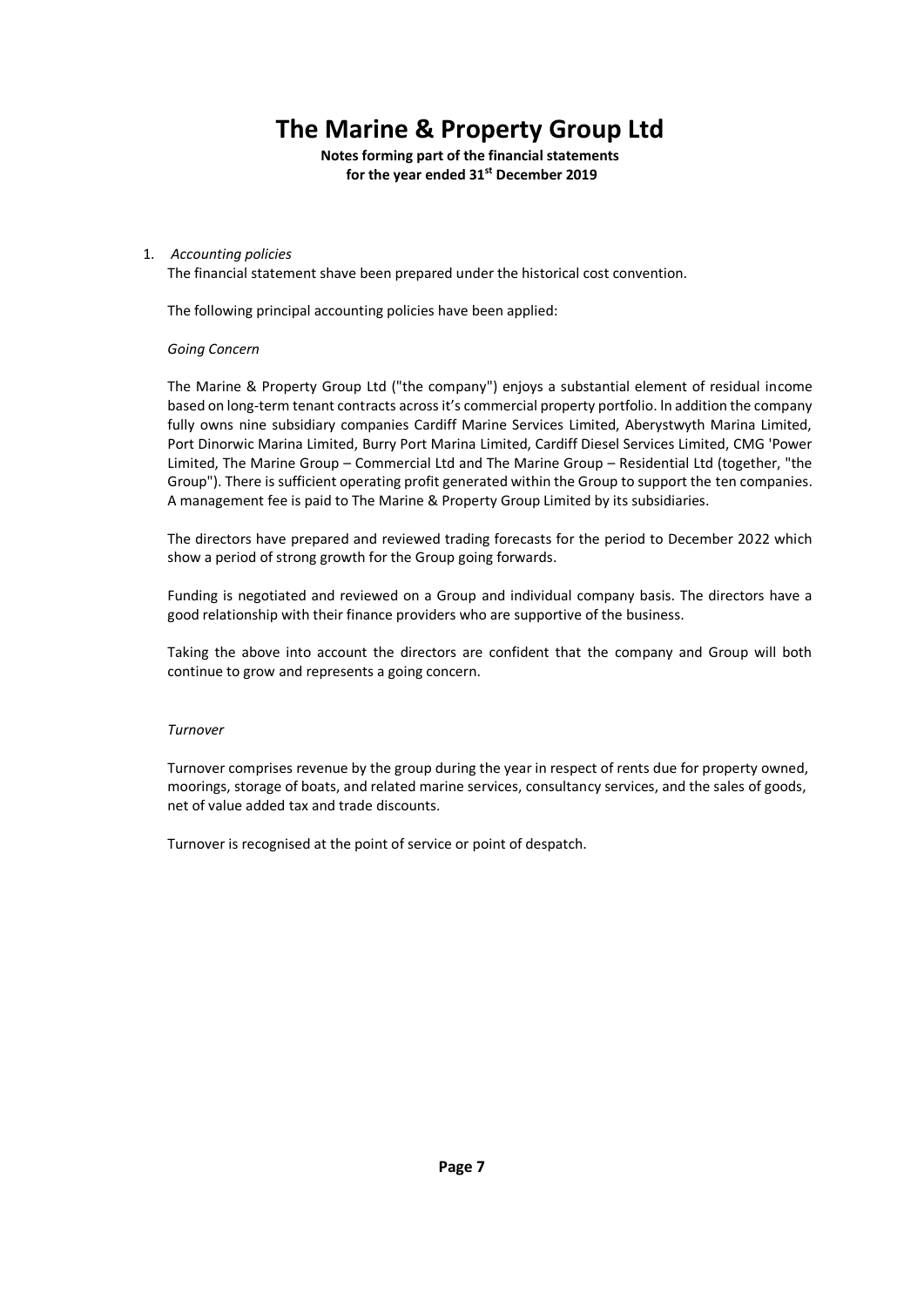**Notes forming part of the financial statements for the year ended 31st December 2019**

#### 1. *Accounting policies*

The financial statement shave been prepared under the historical cost convention.

The following principal accounting policies have been applied:

#### *Going Concern*

The Marine & Property Group Ltd ("the company") enjoys a substantial element of residual income based on long-term tenant contracts acrossit's commercial property portfolio. ln addition the company fully owns nine subsidiary companies Cardiff Marine Services Limited, Aberystwyth Marina Limited, Port Dinorwic Marina Limited, Burry Port Marina Limited, Cardiff Diesel Services Limited, CMG 'Power Limited, The Marine Group – Commercial Ltd and The Marine Group – Residential Ltd (together, "the Group"). There is sufficient operating profit generated within the Group to support the ten companies. A management fee is paid to The Marine & Property Group Limited by its subsidiaries.

The directors have prepared and reviewed trading forecasts for the period to December 2022 which show a period of strong growth for the Group going forwards.

Funding is negotiated and reviewed on a Group and individual company basis. The directors have a good relationship with their finance providers who are supportive of the business.

Taking the above into account the directors are confident that the company and Group will both continue to grow and represents a going concern.

#### *Turnover*

Turnover comprises revenue by the group during the year in respect of rents due for property owned, moorings, storage of boats, and related marine services, consultancy services, and the sales of goods, net of value added tax and trade discounts.

Turnover is recognised at the point of service or point of despatch.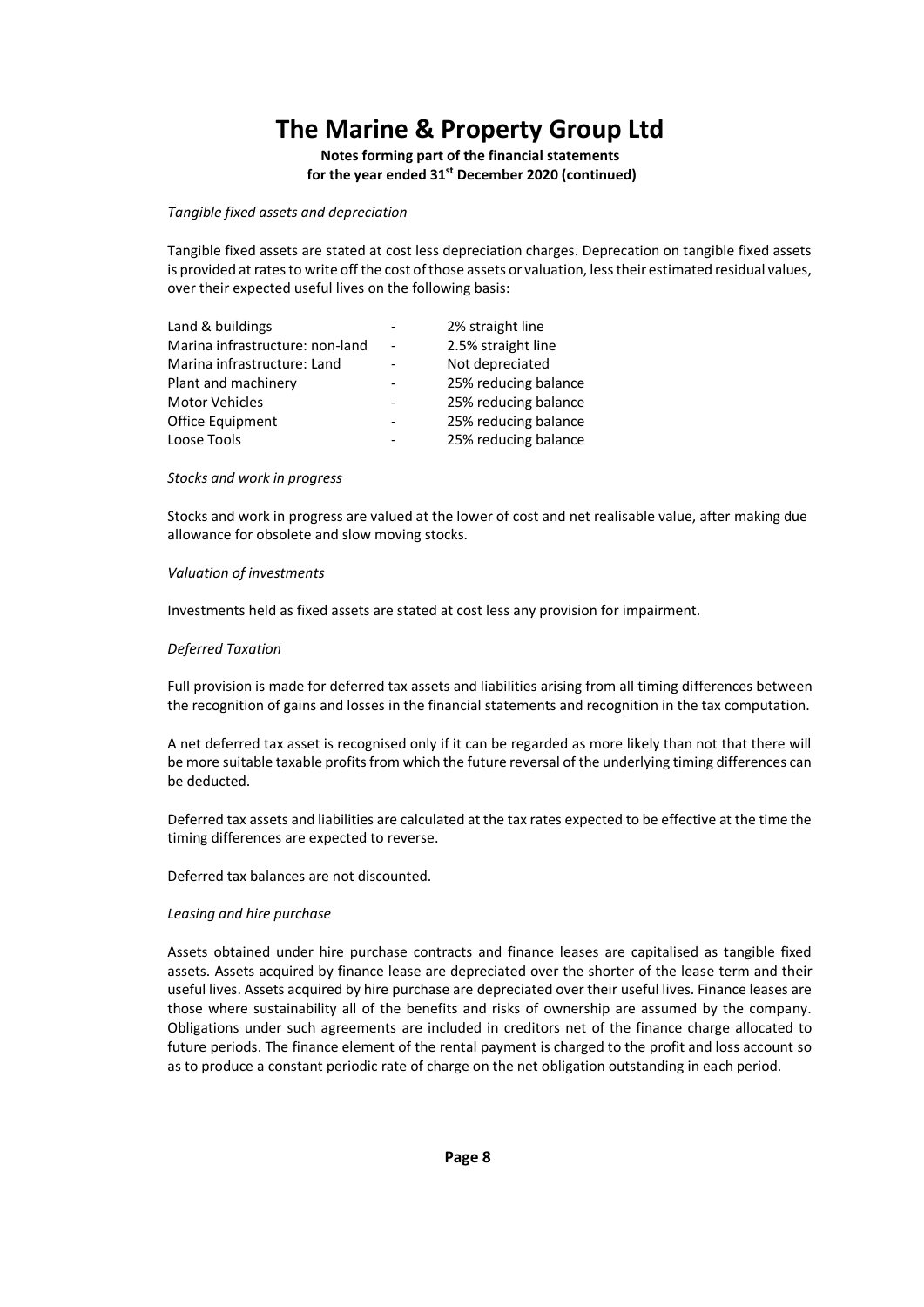**Notes forming part of the financial statements for the year ended 31st December 2020 (continued)**

*Tangible fixed assets and depreciation* 

Tangible fixed assets are stated at cost less depreciation charges. Deprecation on tangible fixed assets is provided at rates to write off the cost of those assets or valuation, less their estimated residual values, over their expected useful lives on the following basis:

|                              | 2% straight line     |
|------------------------------|----------------------|
|                              | 2.5% straight line   |
|                              | Not depreciated      |
| $\qquad \qquad \blacksquare$ | 25% reducing balance |
|                              | 25% reducing balance |
| -                            | 25% reducing balance |
|                              | 25% reducing balance |
|                              |                      |

#### *Stocks and work in progress*

Stocks and work in progress are valued at the lower of cost and net realisable value, after making due allowance for obsolete and slow moving stocks.

#### *Valuation of investments*

Investments held as fixed assets are stated at cost less any provision for impairment.

#### *Deferred Taxation*

Full provision is made for deferred tax assets and liabilities arising from all timing differences between the recognition of gains and losses in the financial statements and recognition in the tax computation.

A net deferred tax asset is recognised only if it can be regarded as more likely than not that there will be more suitable taxable profits from which the future reversal of the underlying timing differences can be deducted.

Deferred tax assets and liabilities are calculated at the tax rates expected to be effective at the time the timing differences are expected to reverse.

Deferred tax balances are not discounted.

#### *Leasing and hire purchase*

Assets obtained under hire purchase contracts and finance leases are capitalised as tangible fixed assets. Assets acquired by finance lease are depreciated over the shorter of the lease term and their useful lives. Assets acquired by hire purchase are depreciated over their useful lives. Finance leases are those where sustainability all of the benefits and risks of ownership are assumed by the company. Obligations under such agreements are included in creditors net of the finance charge allocated to future periods. The finance element of the rental payment is charged to the profit and loss account so as to produce a constant periodic rate of charge on the net obligation outstanding in each period.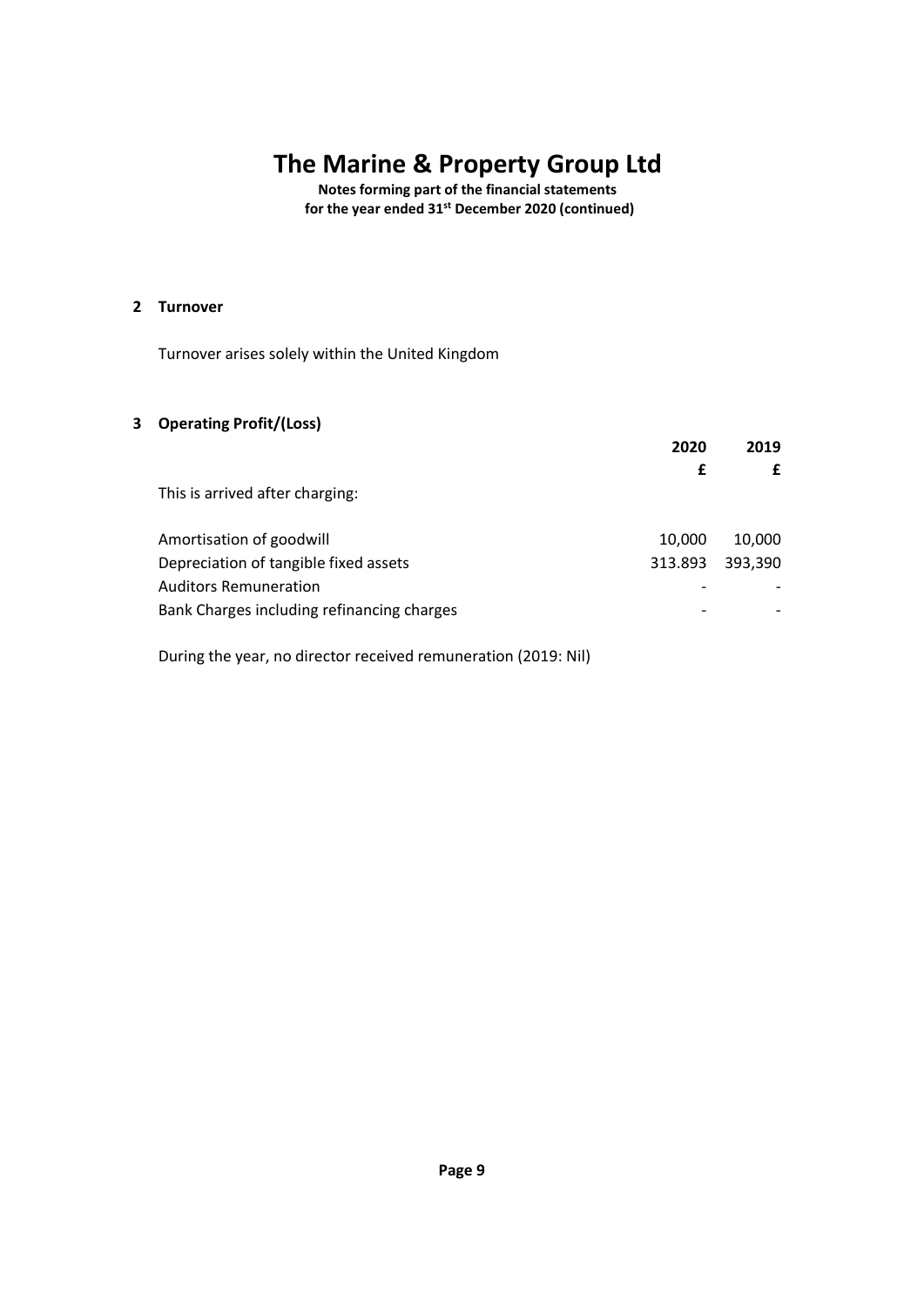**Notes forming part of the financial statements for the year ended 31st December 2020 (continued)**

### **2 Turnover**

Turnover arises solely within the United Kingdom

### **3 Operating Profit/(Loss)**

|                                            | 2020    | 2019    |
|--------------------------------------------|---------|---------|
|                                            | £       |         |
| This is arrived after charging:            |         |         |
| Amortisation of goodwill                   | 10,000  | 10.000  |
| Depreciation of tangible fixed assets      | 313.893 | 393,390 |
| <b>Auditors Remuneration</b>               |         |         |
| Bank Charges including refinancing charges |         |         |
|                                            |         |         |

During the year, no director received remuneration (2019: Nil)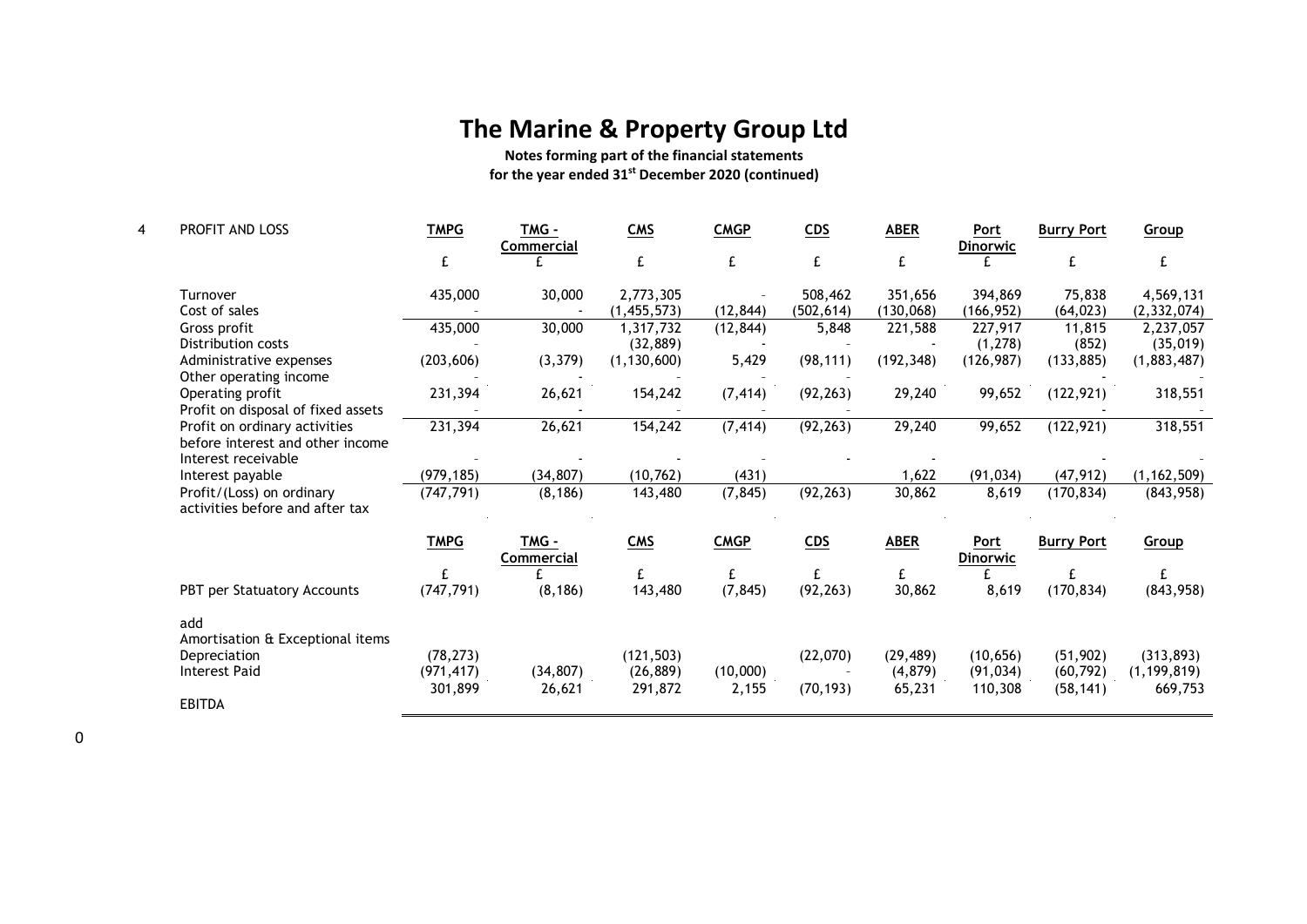**Notes forming part of the financial statements for the year ended 31st December 2020 (continued)**

| 4 | PROFIT AND LOSS                                                                          | <b>TMPG</b> | <b>TMG -</b><br><b>Commercial</b> | <b>CMS</b>    | <b>CMGP</b> | CDS        | <b>ABER</b> | Port<br><b>Dinorwic</b>        | <b>Burry Port</b> | Group         |
|---|------------------------------------------------------------------------------------------|-------------|-----------------------------------|---------------|-------------|------------|-------------|--------------------------------|-------------------|---------------|
|   |                                                                                          |             |                                   | £             | £           | £          |             |                                |                   | £             |
|   | Turnover                                                                                 | 435,000     | 30,000                            | 2,773,305     |             | 508,462    | 351,656     | 394,869                        | 75,838            | 4,569,131     |
|   | Cost of sales                                                                            |             |                                   | (1,455,573)   | (12, 844)   | (502, 614) | (130, 068)  | (166, 952)                     | (64, 023)         | (2, 332, 074) |
|   | Gross profit                                                                             | 435,000     | 30,000                            | 1,317,732     | (12, 844)   | 5,848      | 221,588     | 227,917                        | 11,815            | 2,237,057     |
|   | Distribution costs                                                                       |             |                                   | (32, 889)     |             |            |             | (1, 278)                       | (852)             | (35,019)      |
|   | Administrative expenses<br>Other operating income                                        | (203, 606)  | (3, 379)                          | (1, 130, 600) | 5,429       | (98, 111)  | (192, 348)  | (126, 987)                     | (133, 885)        | (1,883,487)   |
|   | Operating profit<br>Profit on disposal of fixed assets                                   | 231,394     | 26,621                            | 154,242       | (7, 414)    | (92, 263)  | 29,240      | 99,652                         | (122, 921)        | 318,551       |
|   | Profit on ordinary activities<br>before interest and other income<br>Interest receivable | 231,394     | 26,621                            | 154,242       | (7, 414)    | (92, 263)  | 29,240      | 99,652                         | (122, 921)        | 318,551       |
|   | Interest payable                                                                         | (979, 185)  | (34, 807)                         | (10, 762)     | (431)       |            | 1,622       | (91, 034)                      | (47, 912)         | (1, 162, 509) |
|   | Profit/(Loss) on ordinary<br>activities before and after tax                             | (747, 791)  | (8, 186)                          | 143,480       | (7, 845)    | (92, 263)  | 30,862      | 8,619                          | (170, 834)        | (843, 958)    |
|   |                                                                                          | <b>TMPG</b> | <b>TMG -</b><br><b>Commercial</b> | <b>CMS</b>    | <b>CMGP</b> | CDS        | <b>ABER</b> | <b>Port</b><br><b>Dinorwic</b> | <b>Burry Port</b> | Group         |
|   |                                                                                          |             |                                   | £             | £           |            | £           |                                |                   | £             |
|   | PBT per Statuatory Accounts                                                              | (747, 791)  | (8, 186)                          | 143,480       | (7, 845)    | (92, 263)  | 30,862      | 8,619                          | (170, 834)        | (843,958)     |
|   | add                                                                                      |             |                                   |               |             |            |             |                                |                   |               |
|   | Amortisation & Exceptional items                                                         |             |                                   |               |             |            |             |                                |                   |               |
|   | Depreciation                                                                             | (78, 273)   |                                   | (121, 503)    |             | (22,070)   | (29, 489)   | (10, 656)                      | (51, 902)         | (313, 893)    |
|   | <b>Interest Paid</b>                                                                     | (971, 417)  | (34, 807)                         | (26, 889)     | (10,000)    |            | (4,879)     | (91, 034)                      | (60, 792)         | (1, 199, 819) |
|   |                                                                                          | 301,899     | 26,621                            | 291,872       | 2,155       | (70, 193)  | 65,231      | 110,308                        | (58, 141)         | 669,753       |
|   | <b>EBITDA</b>                                                                            |             |                                   |               |             |            |             |                                |                   |               |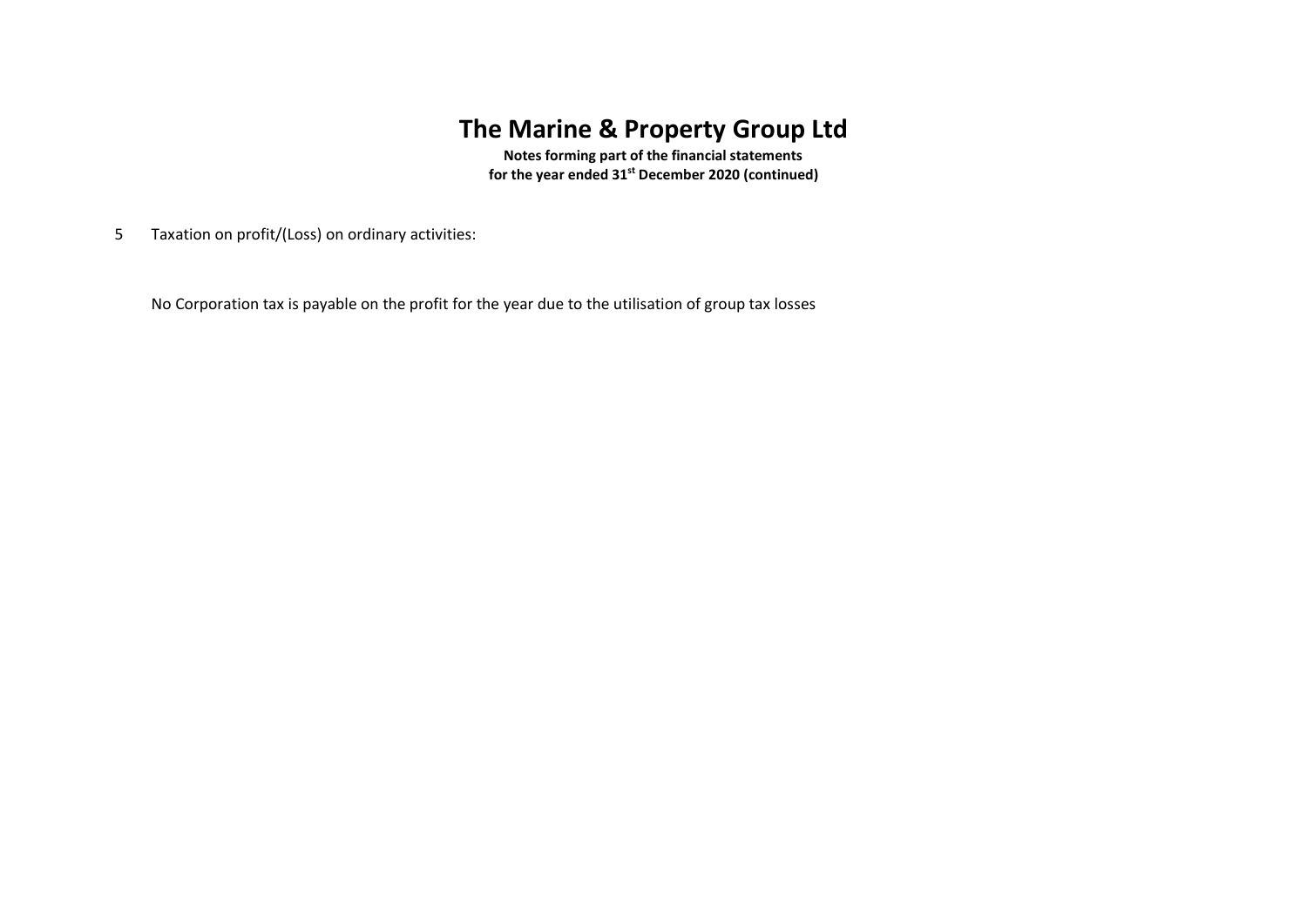**Notes forming part of the financial statements for the year ended 31st December 2020 (continued)**

5 Taxation on profit/(Loss) on ordinary activities:

No Corporation tax is payable on the profit for the year due to the utilisation of group tax losses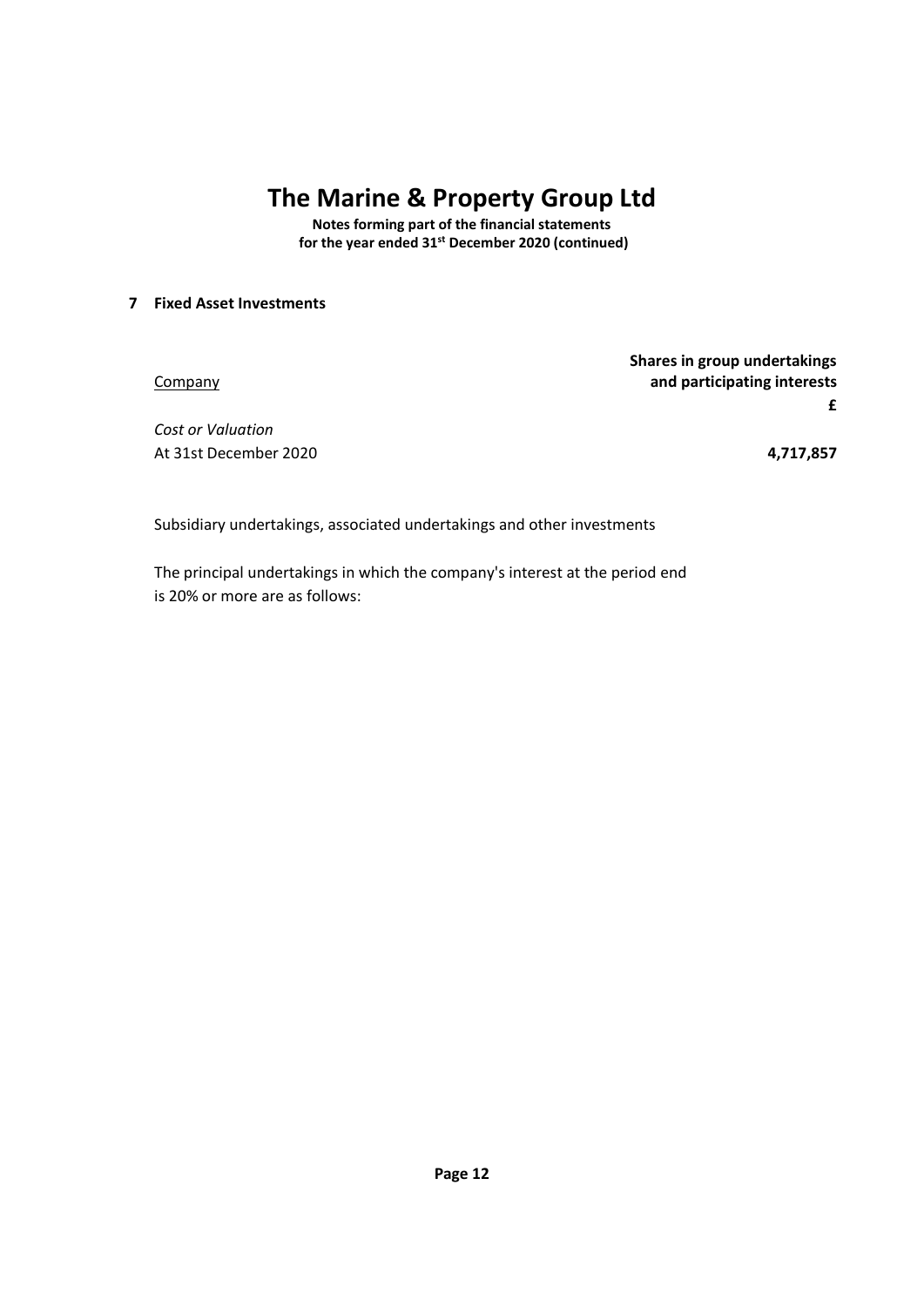**Notes forming part of the financial statements for the year ended 31st December 2020 (continued)**

### **7 Fixed Asset Investments**

|                       | Shares in group undertakings |
|-----------------------|------------------------------|
| Company               | and participating interests  |
|                       |                              |
| Cost or Valuation     |                              |
| At 31st December 2020 | 4,717,857                    |

Subsidiary undertakings, associated undertakings and other investments

The principal undertakings in which the company's interest at the period end is 20% or more are as follows: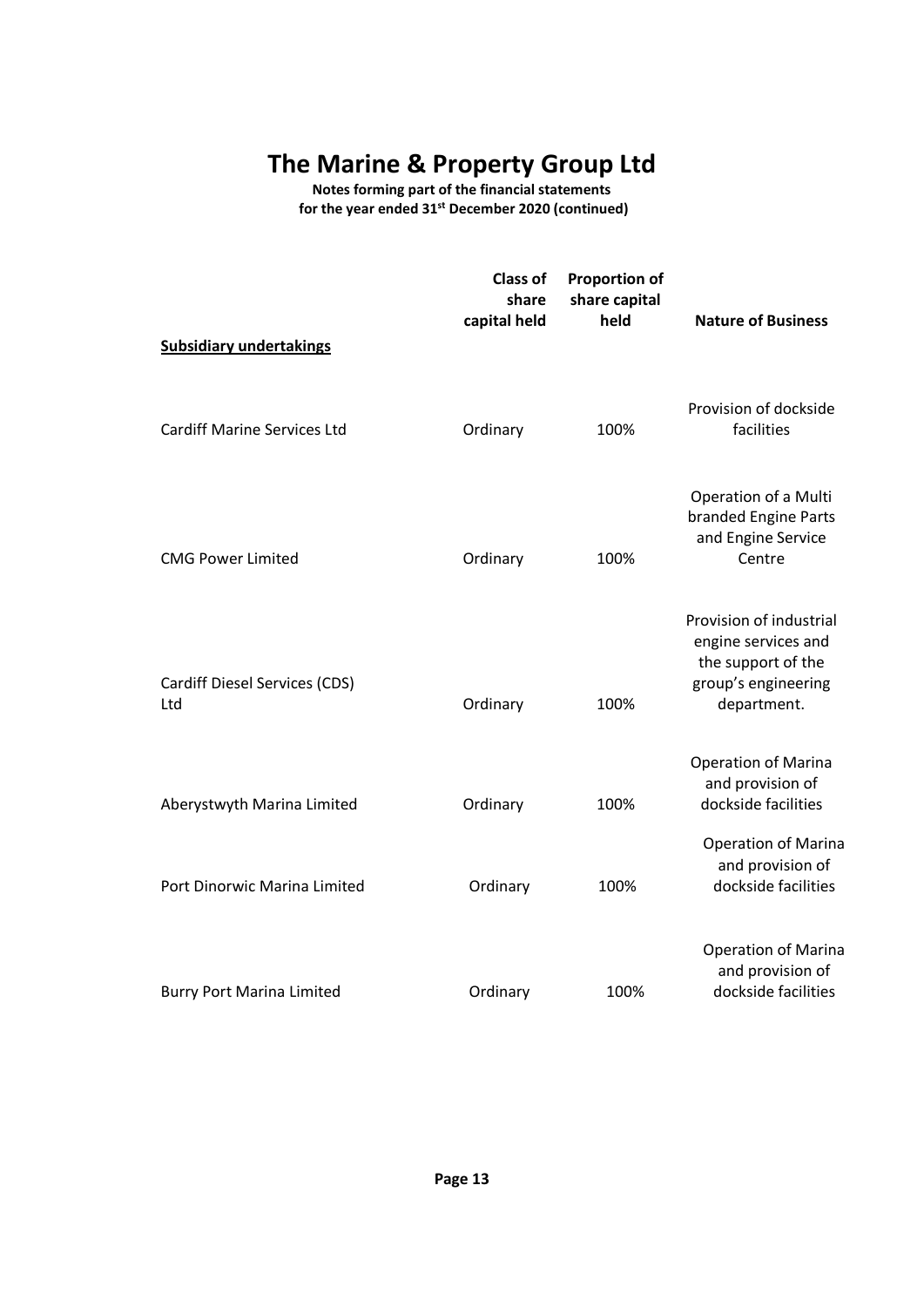**Notes forming part of the financial statements for the year ended 31st December 2020 (continued)**

|                                      | <b>Class of</b><br>share<br>capital held | <b>Proportion of</b><br>share capital<br>held | <b>Nature of Business</b>                                                                                  |
|--------------------------------------|------------------------------------------|-----------------------------------------------|------------------------------------------------------------------------------------------------------------|
| <b>Subsidiary undertakings</b>       |                                          |                                               |                                                                                                            |
| <b>Cardiff Marine Services Ltd</b>   | Ordinary                                 | 100%                                          | Provision of dockside<br>facilities                                                                        |
| <b>CMG Power Limited</b>             | Ordinary                                 | 100%                                          | Operation of a Multi<br>branded Engine Parts<br>and Engine Service<br>Centre                               |
| Cardiff Diesel Services (CDS)<br>Ltd | Ordinary                                 | 100%                                          | Provision of industrial<br>engine services and<br>the support of the<br>group's engineering<br>department. |
| Aberystwyth Marina Limited           | Ordinary                                 | 100%                                          | Operation of Marina<br>and provision of<br>dockside facilities                                             |
| Port Dinorwic Marina Limited         | Ordinary                                 | 100%                                          | Operation of Marina<br>and provision of<br>dockside facilities                                             |
| <b>Burry Port Marina Limited</b>     | Ordinary                                 | 100%                                          | <b>Operation of Marina</b><br>and provision of<br>dockside facilities                                      |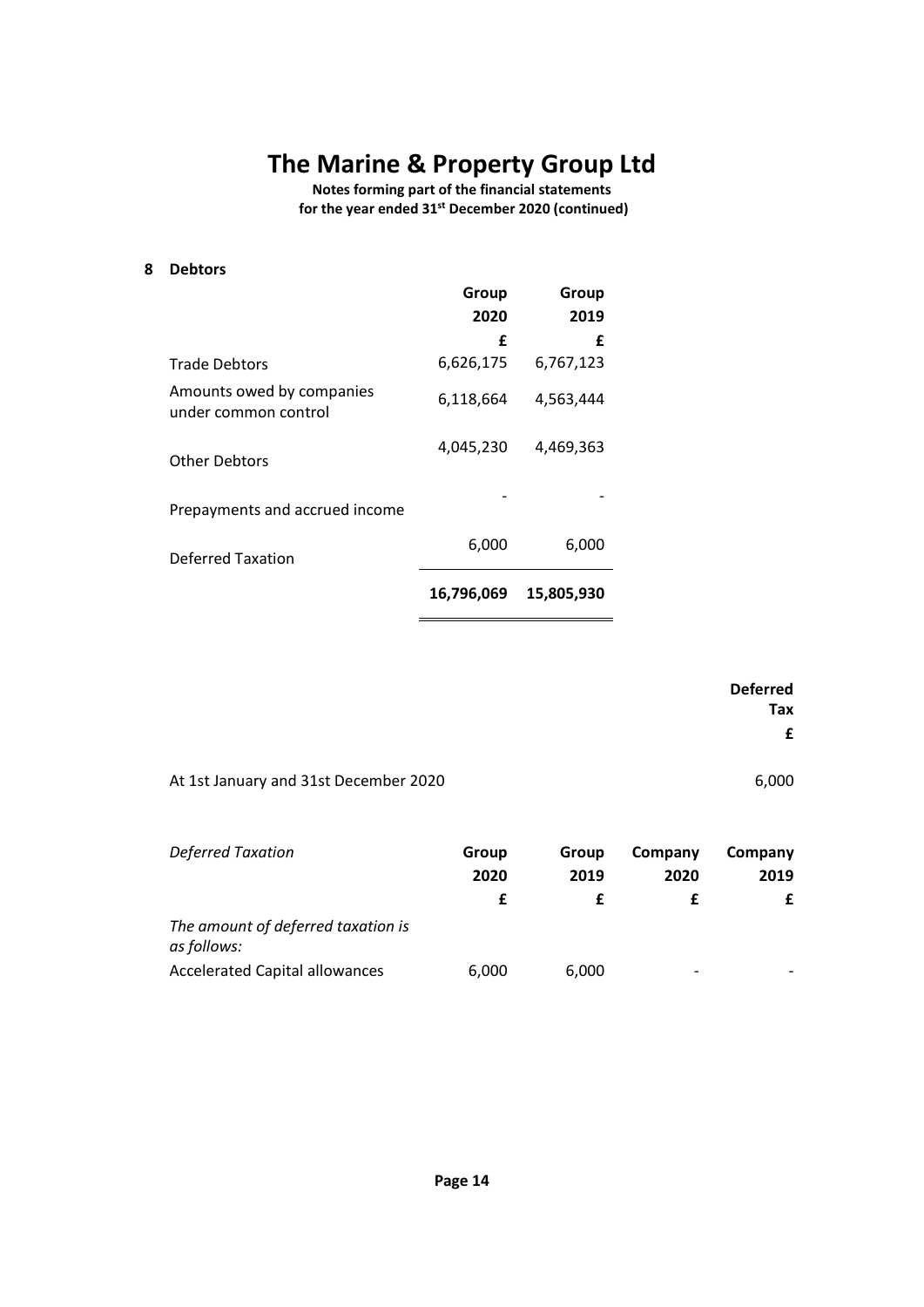**Notes forming part of the financial statements for the year ended 31st December 2020 (continued)**

**8 Debtors**

|                                                   | Group<br>2020 | Group<br>2019 |
|---------------------------------------------------|---------------|---------------|
|                                                   | f             | f             |
| <b>Trade Debtors</b>                              | 6,626,175     | 6,767,123     |
| Amounts owed by companies<br>under common control | 6,118,664     | 4,563,444     |
| <b>Other Debtors</b>                              | 4,045,230     | 4,469,363     |
| Prepayments and accrued income                    |               |               |
| <b>Deferred Taxation</b>                          | 6,000         | 6,000         |
|                                                   | 16,796,069    | 15,805,930    |

|                                       | <b>Deferred</b><br>Tax<br>£ |
|---------------------------------------|-----------------------------|
| At 1st January and 31st December 2020 | 6,000                       |

| <b>Deferred Taxation</b>                          | Group | Group | Company                  | Company |
|---------------------------------------------------|-------|-------|--------------------------|---------|
|                                                   | 2020  | 2019  | 2020                     | 2019    |
|                                                   |       |       |                          |         |
| The amount of deferred taxation is<br>as follows: |       |       |                          |         |
| <b>Accelerated Capital allowances</b>             | 6,000 | 6.000 | $\overline{\phantom{a}}$ |         |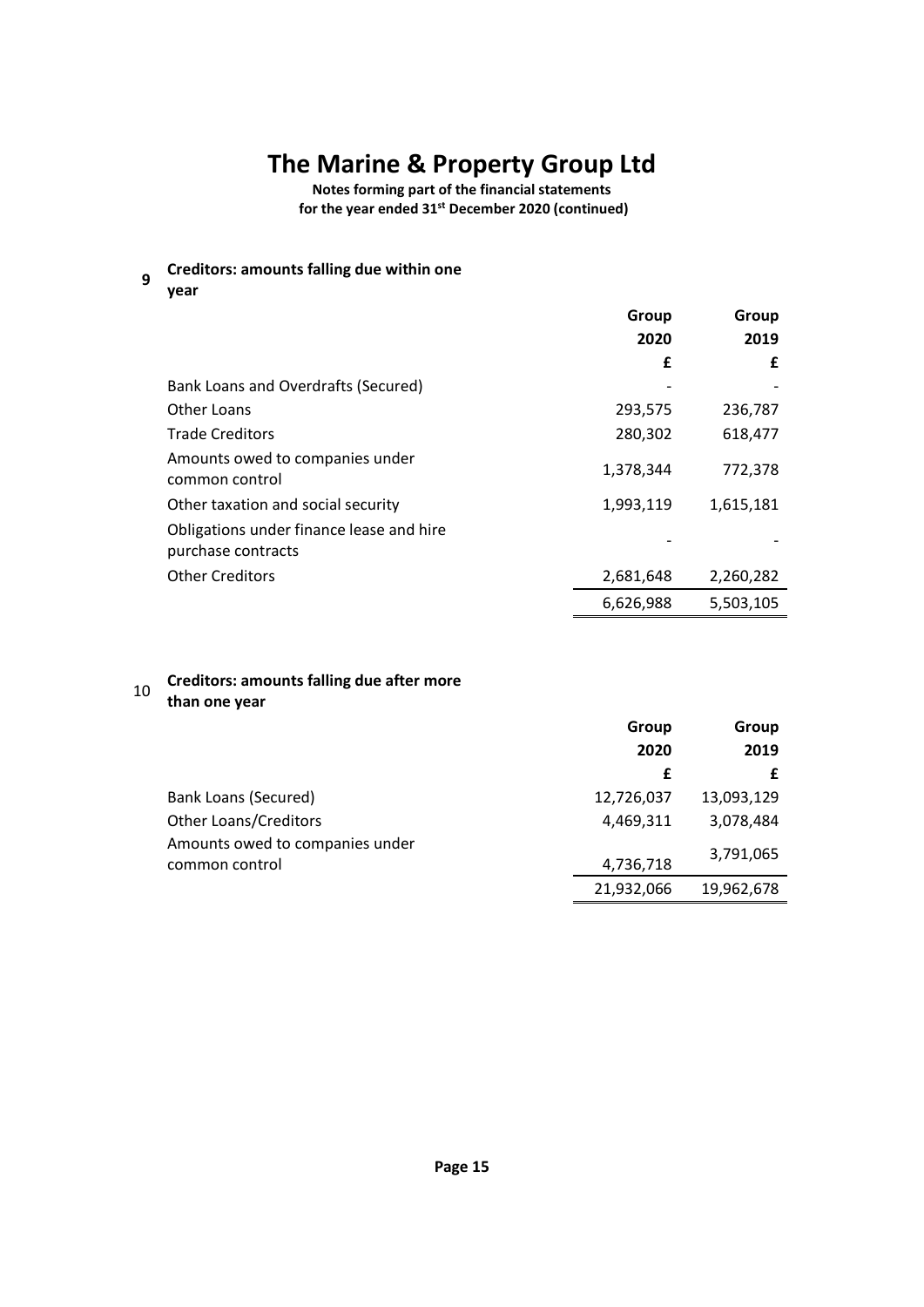**Notes forming part of the financial statements for the year ended 31st December 2020 (continued)**

**9 Creditors: amounts falling due within one** 

**year**

|                                                                | Group<br>2020 | Group<br>2019 |
|----------------------------------------------------------------|---------------|---------------|
|                                                                | £             | £             |
| Bank Loans and Overdrafts (Secured)                            |               |               |
| Other Loans                                                    | 293,575       | 236,787       |
| <b>Trade Creditors</b>                                         | 280,302       | 618,477       |
| Amounts owed to companies under<br>common control              | 1,378,344     | 772,378       |
| Other taxation and social security                             | 1,993,119     | 1,615,181     |
| Obligations under finance lease and hire<br>purchase contracts |               |               |
| <b>Other Creditors</b>                                         | 2,681,648     | 2,260,282     |
|                                                                | 6,626,988     | 5,503,105     |

### <sup>10</sup> **Creditors: amounts falling due after more than one year**

|                                 | Group      | Group      |
|---------------------------------|------------|------------|
|                                 | 2020       | 2019       |
|                                 | £          |            |
| Bank Loans (Secured)            | 12,726,037 | 13,093,129 |
| <b>Other Loans/Creditors</b>    | 4,469,311  | 3,078,484  |
| Amounts owed to companies under |            | 3,791,065  |
| common control                  | 4,736,718  |            |
|                                 | 21,932,066 | 19,962,678 |